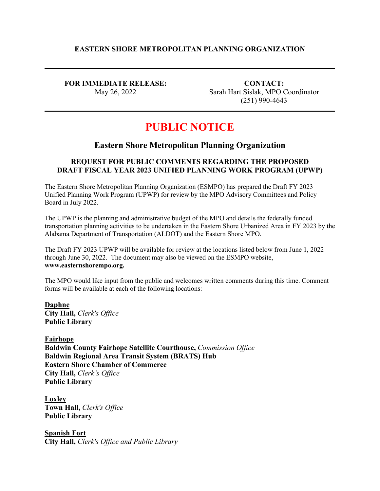## **EASTERN SHORE METROPOLITAN PLANNING ORGANIZATION**

**FOR IMMEDIATE RELEASE:** May 26, 2022

**CONTACT:** Sarah Hart Sislak, MPO Coordinator (251) 990-4643

# **PUBLIC NOTICE**

## **Eastern Shore Metropolitan Planning Organization**

## **REQUEST FOR PUBLIC COMMENTS REGARDING THE PROPOSED DRAFT FISCAL YEAR 2023 UNIFIED PLANNING WORK PROGRAM (UPWP)**

The Eastern Shore Metropolitan Planning Organization (ESMPO) has prepared the Draft FY 2023 Unified Planning Work Program (UPWP) for review by the MPO Advisory Committees and Policy Board in July 2022.

The UPWP is the planning and administrative budget of the MPO and details the federally funded transportation planning activities to be undertaken in the Eastern Shore Urbanized Area in FY 2023 by the Alabama Department of Transportation (ALDOT) and the Eastern Shore MPO.

The Draft FY 2023 UPWP will be available for review at the locations listed below from June 1, 2022 through June 30, 2022. The document may also be viewed on the ESMPO website, **www.easternshorempo.org.**

The MPO would like input from the public and welcomes written comments during this time. Comment forms will be available at each of the following locations:

**Daphne City Hall,** *Clerk's Office* **Public Library**

**Fairhope Baldwin County Fairhope Satellite Courthouse,** *Commission Office* **Baldwin Regional Area Transit System (BRATS) Hub Eastern Shore Chamber of Commerce City Hall,** *Clerk's Office* **Public Library**

**Loxley Town Hall,** *Clerk's Office* **Public Library**

**Spanish Fort City Hall,** *Clerk's Office and Public Library*